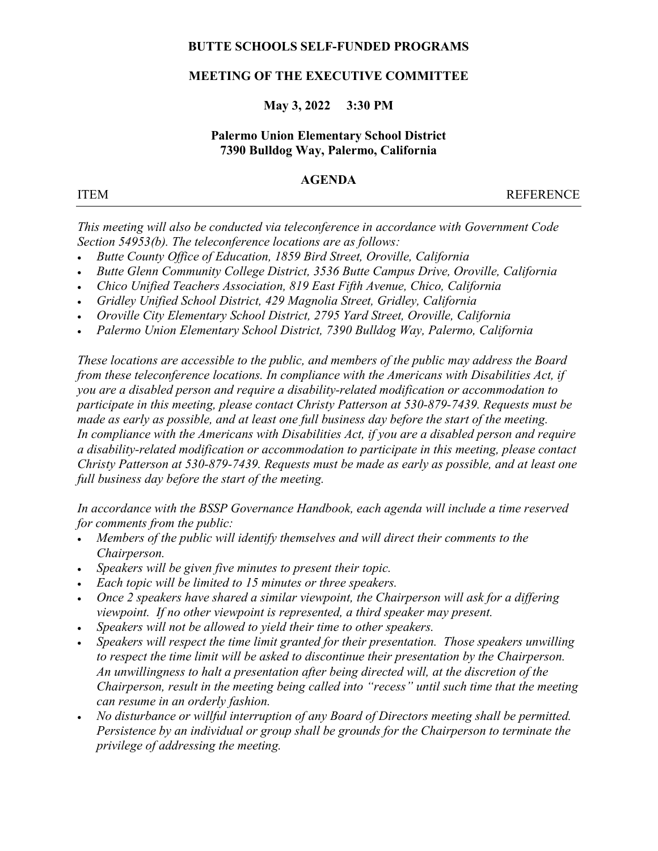# BUTTE SCHOOLS SELF-FUNDED PROGRAMS

# MEETING OF THE EXECUTIVE COMMITTEE

# May 3, 2022 3:30 PM

# Palermo Union Elementary School District 7390 Bulldog Way, Palermo, California

## AGENDA

ITEM REFERENCE

This meeting will also be conducted via teleconference in accordance with Government Code Section 54953(b). The teleconference locations are as follows:

- Butte County Office of Education, 1859 Bird Street, Oroville, California
- Butte Glenn Community College District, 3536 Butte Campus Drive, Oroville, California
- Chico Unified Teachers Association, 819 East Fifth Avenue, Chico, California
- Gridley Unified School District, 429 Magnolia Street, Gridley, California
- Oroville City Elementary School District, 2795 Yard Street, Oroville, California
- Palermo Union Elementary School District, 7390 Bulldog Way, Palermo, California

These locations are accessible to the public, and members of the public may address the Board from these teleconference locations. In compliance with the Americans with Disabilities Act, if you are a disabled person and require a disability-related modification or accommodation to participate in this meeting, please contact Christy Patterson at 530-879-7439. Requests must be made as early as possible, and at least one full business day before the start of the meeting. In compliance with the Americans with Disabilities Act, if you are a disabled person and require a disability-related modification or accommodation to participate in this meeting, please contact Christy Patterson at 530-879-7439. Requests must be made as early as possible, and at least one full business day before the start of the meeting.

In accordance with the BSSP Governance Handbook, each agenda will include a time reserved for comments from the public:

- Members of the public will identify themselves and will direct their comments to the Chairperson.
- Speakers will be given five minutes to present their topic.
- Each topic will be limited to 15 minutes or three speakers.
- Once 2 speakers have shared a similar viewpoint, the Chairperson will ask for a differing viewpoint. If no other viewpoint is represented, a third speaker may present.
- Speakers will not be allowed to yield their time to other speakers.
- Speakers will respect the time limit granted for their presentation. Those speakers unwilling to respect the time limit will be asked to discontinue their presentation by the Chairperson. An unwillingness to halt a presentation after being directed will, at the discretion of the Chairperson, result in the meeting being called into "recess" until such time that the meeting can resume in an orderly fashion.
- No disturbance or willful interruption of any Board of Directors meeting shall be permitted. Persistence by an individual or group shall be grounds for the Chairperson to terminate the privilege of addressing the meeting.